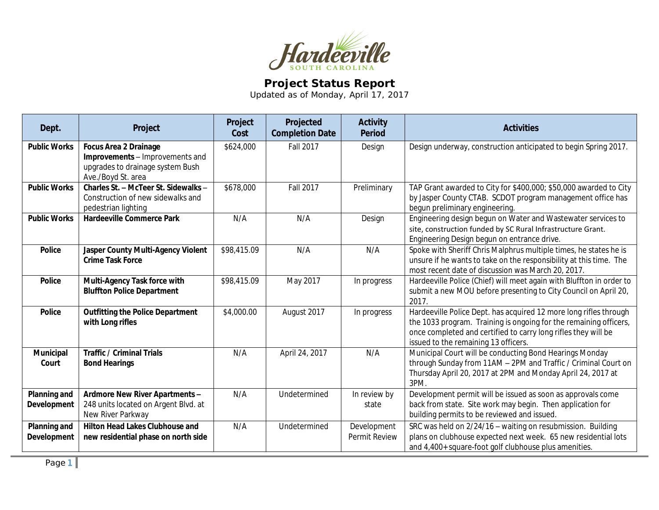

## **Project Status Report**

Updated as of Monday, April 17, 2017

| Dept.                              | Project                                                                                                                   | Project<br>Cost | Projected<br><b>Completion Date</b> | <b>Activity</b><br><b>Period</b> | <b>Activities</b>                                                                                                                                                                                                                                |
|------------------------------------|---------------------------------------------------------------------------------------------------------------------------|-----------------|-------------------------------------|----------------------------------|--------------------------------------------------------------------------------------------------------------------------------------------------------------------------------------------------------------------------------------------------|
| <b>Public Works</b>                | <b>Focus Area 2 Drainage</b><br>Improvements - Improvements and<br>upgrades to drainage system Bush<br>Ave./Boyd St. area | \$624,000       | <b>Fall 2017</b>                    | Design                           | Design underway, construction anticipated to begin Spring 2017.                                                                                                                                                                                  |
| <b>Public Works</b>                | Charles St. - McTeer St. Sidewalks -<br>Construction of new sidewalks and<br>pedestrian lighting                          | \$678,000       | Fall 2017                           | Preliminary                      | TAP Grant awarded to City for \$400,000; \$50,000 awarded to City<br>by Jasper County CTAB. SCDOT program management office has<br>begun preliminary engineering                                                                                 |
| <b>Public Works</b>                | <b>Hardeeville Commerce Park</b>                                                                                          | N/A             | N/A                                 | Design                           | Engineering design begun on Water and Wastewater services to<br>site, construction funded by SC Rural Infrastructure Grant.<br>Engineering Design begun on entrance drive.                                                                       |
| <b>Police</b>                      | Jasper County Multi-Agency Violent<br><b>Crime Task Force</b>                                                             | \$98,415.09     | N/A                                 | N/A                              | Spoke with Sheriff Chris Malphrus multiple times, he states he is<br>unsure if he wants to take on the responsibility at this time. The<br>most recent date of discussion was March 20, 2017.                                                    |
| <b>Police</b>                      | Multi-Agency Task force with<br><b>Bluffton Police Department</b>                                                         | \$98,415.09     | May 2017                            | In progress                      | Hardeeville Police (Chief) will meet again with Bluffton in order to<br>submit a new MOU before presenting to City Council on April 20,<br>2017.                                                                                                 |
| <b>Police</b>                      | <b>Outfitting the Police Department</b><br>with Long rifles                                                               | \$4,000.00      | August 2017                         | In progress                      | Hardeeville Police Dept. has acquired 12 more long rifles through<br>the 1033 program. Training is ongoing for the remaining officers,<br>once completed and certified to carry long rifles they will be<br>issued to the remaining 13 officers. |
| Municipal<br>Court                 | <b>Traffic / Criminal Trials</b><br><b>Bond Hearings</b>                                                                  | N/A             | April 24, 2017                      | N/A                              | Municipal Court will be conducting Bond Hearings Monday<br>through Sunday from 11AM - 2PM and Traffic / Criminal Court on<br>Thursday April 20, 2017 at 2PM and Monday April 24, 2017 at<br>3PM.                                                 |
| <b>Planning and</b><br>Development | Ardmore New River Apartments -<br>248 units located on Argent Blvd. at<br>New River Parkway                               | N/A             | Undetermined                        | In review by<br>state            | Development permit will be issued as soon as approvals come<br>back from state. Site work may begin. Then application for<br>building permits to be reviewed and issued.                                                                         |
| Planning and<br><b>Development</b> | Hilton Head Lakes Clubhouse and<br>new residential phase on north side                                                    | N/A             | Undetermined                        | Development<br>Permit Review     | SRC was held on 2/24/16 - waiting on resubmission. Building<br>plans on clubhouse expected next week. 65 new residential lots<br>and 4,400+ square-foot golf clubhouse plus amenities.                                                           |